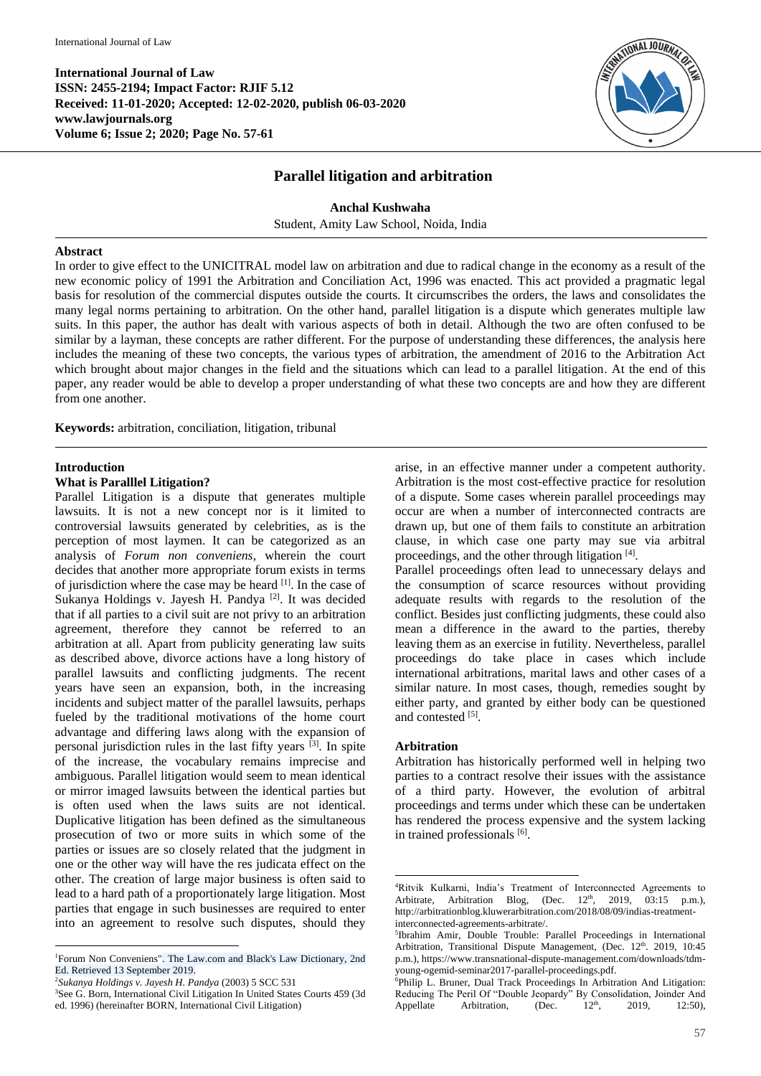**International Journal of Law ISSN: 2455-2194; Impact Factor: RJIF 5.12 Received: 11-01-2020; Accepted: 12-02-2020, publish 06-03-2020 www.lawjournals.org Volume 6; Issue 2; 2020; Page No. 57-61**



## **Parallel litigation and arbitration**

**Anchal Kushwaha** Student, Amity Law School, Noida, India

### **Abstract**

In order to give effect to the UNICITRAL model law on arbitration and due to radical change in the economy as a result of the new economic policy of 1991 the Arbitration and Conciliation Act, 1996 was enacted. This act provided a pragmatic legal basis for resolution of the commercial disputes outside the courts. It circumscribes the orders, the laws and consolidates the many legal norms pertaining to arbitration. On the other hand, parallel litigation is a dispute which generates multiple law suits. In this paper, the author has dealt with various aspects of both in detail. Although the two are often confused to be similar by a layman, these concepts are rather different. For the purpose of understanding these differences, the analysis here includes the meaning of these two concepts, the various types of arbitration, the amendment of 2016 to the Arbitration Act which brought about major changes in the field and the situations which can lead to a parallel litigation. At the end of this paper, any reader would be able to develop a proper understanding of what these two concepts are and how they are different from one another.

**Keywords:** arbitration, conciliation, litigation, tribunal

## **Introduction**

 $\overline{a}$ 

## **What is Paralllel Litigation?**

Parallel Litigation is a dispute that generates multiple lawsuits. It is not a new concept nor is it limited to controversial lawsuits generated by celebrities, as is the perception of most laymen. It can be categorized as an analysis of *Forum non conveniens*, wherein the court decides that another more appropriate forum exists in terms of jurisdiction where the case may be heard <sup>[1]</sup>. In the case of Sukanya Holdings v. Jayesh H. Pandya<sup>[2]</sup>. It was decided that if all parties to a civil suit are not privy to an arbitration agreement, therefore they cannot be referred to an arbitration at all. Apart from publicity generating law suits as described above, divorce actions have a long history of parallel lawsuits and conflicting judgments. The recent years have seen an expansion, both, in the increasing incidents and subject matter of the parallel lawsuits, perhaps fueled by the traditional motivations of the home court advantage and differing laws along with the expansion of personal jurisdiction rules in the last fifty years [3] . In spite of the increase, the vocabulary remains imprecise and ambiguous. Parallel litigation would seem to mean identical or mirror imaged lawsuits between the identical parties but is often used when the laws suits are not identical. Duplicative litigation has been defined as the simultaneous prosecution of two or more suits in which some of the parties or issues are so closely related that the judgment in one or the other way will have the res judicata effect on the other. The creation of large major business is often said to lead to a hard path of a proportionately large litigation. Most parties that engage in such businesses are required to enter into an agreement to resolve such disputes, should they arise, in an effective manner under a competent authority. Arbitration is the most cost-effective practice for resolution of a dispute. Some cases wherein parallel proceedings may occur are when a number of interconnected contracts are drawn up, but one of them fails to constitute an arbitration clause, in which case one party may sue via arbitral proceedings, and the other through litigation [4].

Parallel proceedings often lead to unnecessary delays and the consumption of scarce resources without providing adequate results with regards to the resolution of the conflict. Besides just conflicting judgments, these could also mean a difference in the award to the parties, thereby leaving them as an exercise in futility. Nevertheless, parallel proceedings do take place in cases which include international arbitrations, marital laws and other cases of a similar nature. In most cases, though, remedies sought by either party, and granted by either body can be questioned and contested [5].

## **Arbitration**

1

Arbitration has historically performed well in helping two parties to a contract resolve their issues with the assistance of a third party. However, the evolution of arbitral proceedings and terms under which these can be undertaken has rendered the process expensive and the system lacking in trained professionals [6].

<sup>&</sup>lt;sup>1</sup>Forum Non Conveniens". The Law.com and Black's Law Dictionary, 2nd Ed. Retrieved 13 September 2019.

<sup>2</sup> *Sukanya Holdings v. Jayesh H. Pandya* (2003) 5 SCC 531

<sup>3</sup>See G. Born, International Civil Litigation In United States Courts 459 (3d ed. 1996) (hereinafter BORN, International Civil Litigation)

<sup>4</sup>Ritvik Kulkarni, India's Treatment of Interconnected Agreements to Arbitrate, Arbitration Blog, (Dec.  $12<sup>th</sup>$ , 2019, 03:15 p.m.), http://arbitrationblog.kluwerarbitration.com/2018/08/09/indias-treatmentinterconnected-agreements-arbitrate/.

<sup>5</sup> Ibrahim Amir, Double Trouble: Parallel Proceedings in International Arbitration, Transitional Dispute Management, (Dec. 12th. 2019, 10:45 p.m.), https://www.transnational-dispute-management.com/downloads/tdmyoung-ogemid-seminar2017-parallel-proceedings.pdf.

<sup>&</sup>lt;sup>6</sup>Philip L. Bruner, Dual Track Proceedings In Arbitration And Litigation: Reducing The Peril Of "Double Jeopardy" By Consolidation, Joinder And<br>Appellate Arbitration (Dec.  $12^{\text{th}}$  2019 12:50) Appellate Arbitration,  $(Dec. 12<sup>th</sup>, 2019, 12:50)$ ,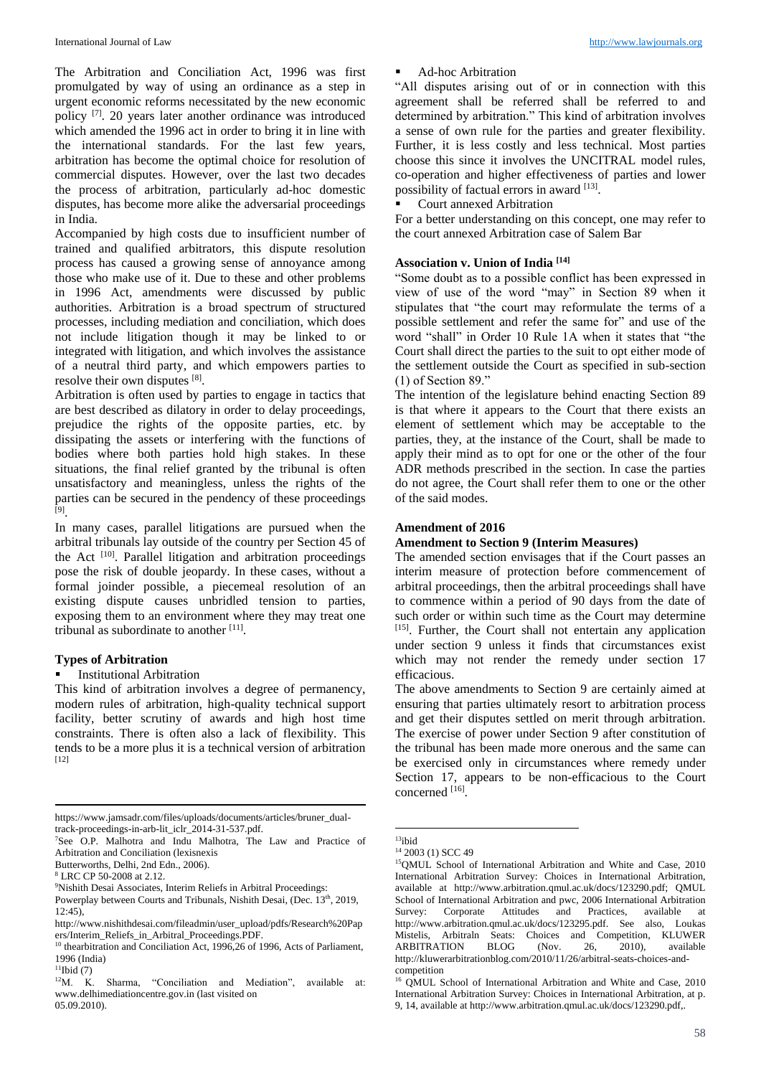The Arbitration and Conciliation Act, 1996 was first promulgated by way of using an ordinance as a step in urgent economic reforms necessitated by the new economic policy<sup>[7]</sup>. 20 years later another ordinance was introduced which amended the 1996 act in order to bring it in line with the international standards. For the last few years, arbitration has become the optimal choice for resolution of commercial disputes. However, over the last two decades the process of arbitration, particularly ad-hoc domestic disputes, has become more alike the adversarial proceedings in India.

Accompanied by high costs due to insufficient number of trained and qualified arbitrators, this dispute resolution process has caused a growing sense of annoyance among those who make use of it. Due to these and other problems in 1996 Act, amendments were discussed by public authorities. Arbitration is a broad spectrum of structured processes, including mediation and conciliation, which does not include litigation though it may be linked to or integrated with litigation, and which involves the assistance of a neutral third party, and which empowers parties to resolve their own disputes [8].

Arbitration is often used by parties to engage in tactics that are best described as dilatory in order to delay proceedings, prejudice the rights of the opposite parties, etc. by dissipating the assets or interfering with the functions of bodies where both parties hold high stakes. In these situations, the final relief granted by the tribunal is often unsatisfactory and meaningless, unless the rights of the parties can be secured in the pendency of these proceedings [9] .

In many cases, parallel litigations are pursued when the arbitral tribunals lay outside of the country per Section 45 of the Act <sup>[10]</sup>. Parallel litigation and arbitration proceedings pose the risk of double jeopardy. In these cases, without a formal joinder possible, a piecemeal resolution of an existing dispute causes unbridled tension to parties, exposing them to an environment where they may treat one tribunal as subordinate to another [11].

### **Types of Arbitration**

#### Institutional Arbitration

This kind of arbitration involves a degree of permanency, modern rules of arbitration, high-quality technical support facility, better scrutiny of awards and high host time constraints. There is often also a lack of flexibility. This tends to be a more plus it is a technical version of arbitration [12]

**.** 

### Ad-hoc Arbitration

"All disputes arising out of or in connection with this agreement shall be referred shall be referred to and determined by arbitration." This kind of arbitration involves a sense of own rule for the parties and greater flexibility. Further, it is less costly and less technical. Most parties choose this since it involves the UNCITRAL model rules, co-operation and higher effectiveness of parties and lower possibility of factual errors in award [13].

### Court annexed Arbitration

For a better understanding on this concept, one may refer to the court annexed Arbitration case of Salem Bar

## **Association v. Union of India [14]**

"Some doubt as to a possible conflict has been expressed in view of use of the word "may" in Section 89 when it stipulates that "the court may reformulate the terms of a possible settlement and refer the same for" and use of the word "shall" in Order 10 Rule 1A when it states that "the Court shall direct the parties to the suit to opt either mode of the settlement outside the Court as specified in sub-section (1) of Section 89."

The intention of the legislature behind enacting Section 89 is that where it appears to the Court that there exists an element of settlement which may be acceptable to the parties, they, at the instance of the Court, shall be made to apply their mind as to opt for one or the other of the four ADR methods prescribed in the section. In case the parties do not agree, the Court shall refer them to one or the other of the said modes.

### **Amendment of 2016**

# **Amendment to Section 9 (Interim Measures)**

The amended section envisages that if the Court passes an interim measure of protection before commencement of arbitral proceedings, then the arbitral proceedings shall have to commence within a period of 90 days from the date of such order or within such time as the Court may determine [15]. Further, the Court shall not entertain any application under section 9 unless it finds that circumstances exist which may not render the remedy under section 17 efficacious.

The above amendments to Section 9 are certainly aimed at ensuring that parties ultimately resort to arbitration process and get their disputes settled on merit through arbitration. The exercise of power under Section 9 after constitution of the tribunal has been made more onerous and the same can be exercised only in circumstances where remedy under Section 17, appears to be non-efficacious to the Court concerned [16].

**.** 

https://www.jamsadr.com/files/uploads/documents/articles/bruner\_dualtrack-proceedings-in-arb-lit\_iclr\_2014-31-537.pdf.

<sup>7</sup>See O.P. Malhotra and Indu Malhotra, The Law and Practice of Arbitration and Conciliation (lexisnexis

Butterworths, Delhi, 2nd Edn., 2006).

<sup>8</sup> LRC CP 50-2008 at 2.12.

<sup>&</sup>lt;sup>9</sup>Nishith Desai Associates, Interim Reliefs in Arbitral Proceedings:

Powerplay between Courts and Tribunals, Nishith Desai, (Dec. 13<sup>th</sup>, 2019, 12:45),

http://www.nishithdesai.com/fileadmin/user\_upload/pdfs/Research%20Pap ers/Interim\_Reliefs\_in\_Arbitral\_Proceedings.PDF.

<sup>&</sup>lt;sup>10</sup> thearbitration and Conciliation Act, 1996,26 of 1996, Acts of Parliament, 1996 (India)

 $^{11}$ Ibid (7)<br> $^{12}$ M. K.

Sharma, "Conciliation and Mediation", available at: www.delhimediationcentre.gov.in (last visited on 05.09.2010).

 $13$ ibid <sup>14</sup> 2003 (1) SCC 49

<sup>15</sup>QMUL School of International Arbitration and White and Case, 2010 International Arbitration Survey: Choices in International Arbitration, available at http://www.arbitration.qmul.ac.uk/docs/123290.pdf; QMUL School of International Arbitration and pwc, 2006 International Arbitration Survey: Corporate Attitudes and Practices, available at http://www.arbitration.qmul.ac.uk/docs/123295.pdf. See also, Loukas Mistelis, Arbitraln Seats: Choices and Competition, KLUWER<br>ARBITRATION BLOG (Nov. 26, 2010), available ARBITRATION BLOG (Nov.  $26$ ,  $2010$ ), http://kluwerarbitrationblog.com/2010/11/26/arbitral-seats-choices-andcompetition

<sup>&</sup>lt;sup>16</sup> QMUL School of International Arbitration and White and Case, 2010 International Arbitration Survey: Choices in International Arbitration, at p. 9, 14, available at http://www.arbitration.qmul.ac.uk/docs/123290.pdf,.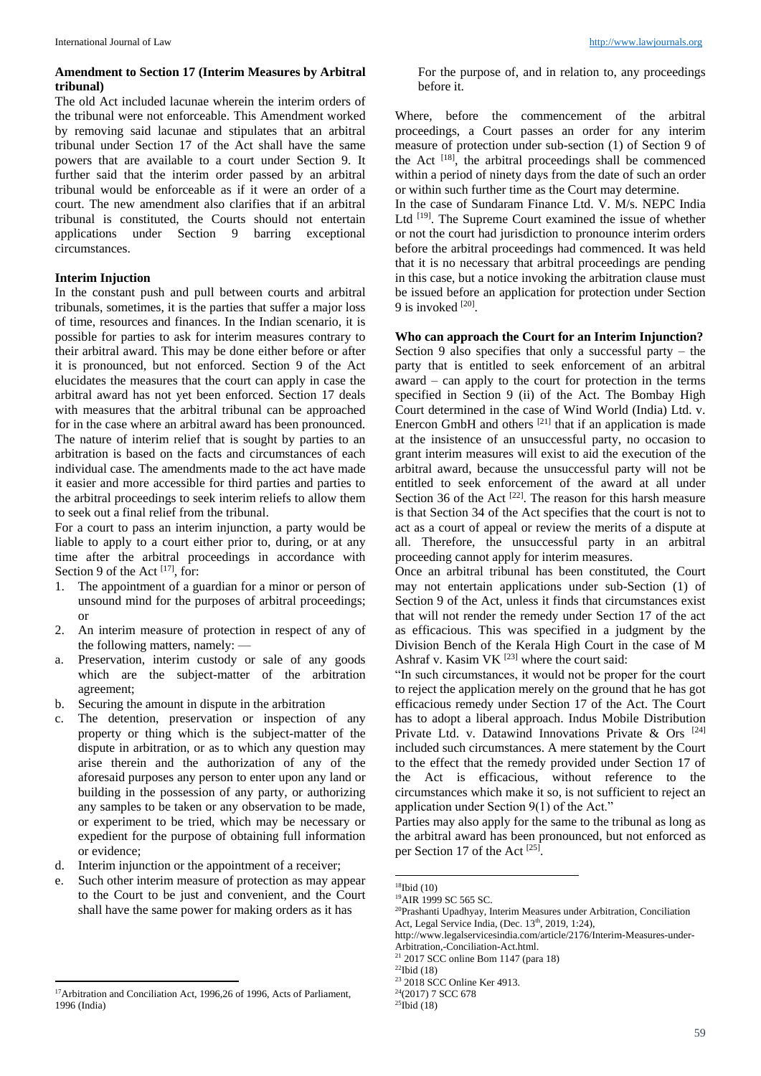## **Amendment to Section 17 (Interim Measures by Arbitral tribunal)**

The old Act included lacunae wherein the interim orders of the tribunal were not enforceable. This Amendment worked by removing said lacunae and stipulates that an arbitral tribunal under Section 17 of the Act shall have the same powers that are available to a court under Section 9. It further said that the interim order passed by an arbitral tribunal would be enforceable as if it were an order of a court. The new amendment also clarifies that if an arbitral tribunal is constituted, the Courts should not entertain applications under Section 9 barring exceptional circumstances.

## **Interim Injuction**

In the constant push and pull between courts and arbitral tribunals, sometimes, it is the parties that suffer a major loss of time, resources and finances. In the Indian scenario, it is possible for parties to ask for interim measures contrary to their arbitral award. This may be done either before or after it is pronounced, but not enforced. Section 9 of the Act elucidates the measures that the court can apply in case the arbitral award has not yet been enforced. Section 17 deals with measures that the arbitral tribunal can be approached for in the case where an arbitral award has been pronounced. The nature of interim relief that is sought by parties to an arbitration is based on the facts and circumstances of each individual case. The amendments made to the act have made it easier and more accessible for third parties and parties to the arbitral proceedings to seek interim reliefs to allow them to seek out a final relief from the tribunal.

For a court to pass an interim injunction, a party would be liable to apply to a court either prior to, during, or at any time after the arbitral proceedings in accordance with Section 9 of the Act  $[17]$ , for:

- 1. The appointment of a guardian for a minor or person of unsound mind for the purposes of arbitral proceedings; or
- 2. An interim measure of protection in respect of any of the following matters, namely: —
- a. Preservation, interim custody or sale of any goods which are the subject-matter of the arbitration agreement;
- b. Securing the amount in dispute in the arbitration
- c. The detention, preservation or inspection of any property or thing which is the subject-matter of the dispute in arbitration, or as to which any question may arise therein and the authorization of any of the aforesaid purposes any person to enter upon any land or building in the possession of any party, or authorizing any samples to be taken or any observation to be made, or experiment to be tried, which may be necessary or expedient for the purpose of obtaining full information or evidence;
- d. Interim injunction or the appointment of a receiver;
- e. Such other interim measure of protection as may appear to the Court to be just and convenient, and the Court shall have the same power for making orders as it has

For the purpose of, and in relation to, any proceedings before it.

Where, before the commencement of the arbitral proceedings, a Court passes an order for any interim measure of protection under sub-section (1) of Section 9 of the Act <sup>[18]</sup>, the arbitral proceedings shall be commenced within a period of ninety days from the date of such an order or within such further time as the Court may determine.

In the case of Sundaram Finance Ltd. V. M/s. NEPC India Ltd <sup>[19]</sup>. The Supreme Court examined the issue of whether or not the court had jurisdiction to pronounce interim orders before the arbitral proceedings had commenced. It was held that it is no necessary that arbitral proceedings are pending in this case, but a notice invoking the arbitration clause must be issued before an application for protection under Section 9 is invoked [20].

**Who can approach the Court for an Interim Injunction?**

Section 9 also specifies that only a successful party – the party that is entitled to seek enforcement of an arbitral award – can apply to the court for protection in the terms specified in Section 9 (ii) of the Act. The Bombay High Court determined in the case of Wind World (India) Ltd. v. Enercon GmbH and others  $[21]$  that if an application is made at the insistence of an unsuccessful party, no occasion to grant interim measures will exist to aid the execution of the arbitral award, because the unsuccessful party will not be entitled to seek enforcement of the award at all under Section 36 of the Act  $[22]$ . The reason for this harsh measure is that Section 34 of the Act specifies that the court is not to act as a court of appeal or review the merits of a dispute at all. Therefore, the unsuccessful party in an arbitral proceeding cannot apply for interim measures.

Once an arbitral tribunal has been constituted, the Court may not entertain applications under sub-Section (1) of Section 9 of the Act, unless it finds that circumstances exist that will not render the remedy under Section 17 of the act as efficacious. This was specified in a judgment by the Division Bench of the Kerala High Court in the case of M Ashraf v. Kasim VK [23] where the court said:

"In such circumstances, it would not be proper for the court to reject the application merely on the ground that he has got efficacious remedy under Section 17 of the Act. The Court has to adopt a liberal approach. Indus Mobile Distribution Private Ltd. v. Datawind Innovations Private & Ors <sup>[24]</sup> included such circumstances. A mere statement by the Court to the effect that the remedy provided under Section 17 of the Act is efficacious, without reference to the circumstances which make it so, is not sufficient to reject an application under Section 9(1) of the Act."

Parties may also apply for the same to the tribunal as long as the arbitral award has been pronounced, but not enforced as per Section 17 of the Act [25].

1

 $\overline{a}$ <sup>17</sup>Arbitration and Conciliation Act, 1996,26 of 1996, Acts of Parliament, 1996 (India)

 $18$ Ibid (10)

<sup>&</sup>lt;sup>19</sup>AIR 1999 SC 565 SC.

<sup>20</sup>Prashanti Upadhyay, Interim Measures under Arbitration, Conciliation Act, Legal Service India, (Dec.  $13<sup>th</sup>$ , 2019, 1:24),

http://www.legalservicesindia.com/article/2176/Interim-Measures-under-Arbitration,-Conciliation-Act.html.

 $21$  2017 SCC online Bom 1147 (para 18)

 $^{22}$ Ibid (18)

<sup>23</sup> 2018 SCC Online Ker 4913.

<sup>24</sup>(2017) 7 SCC 678

 $25$ Ibid (18)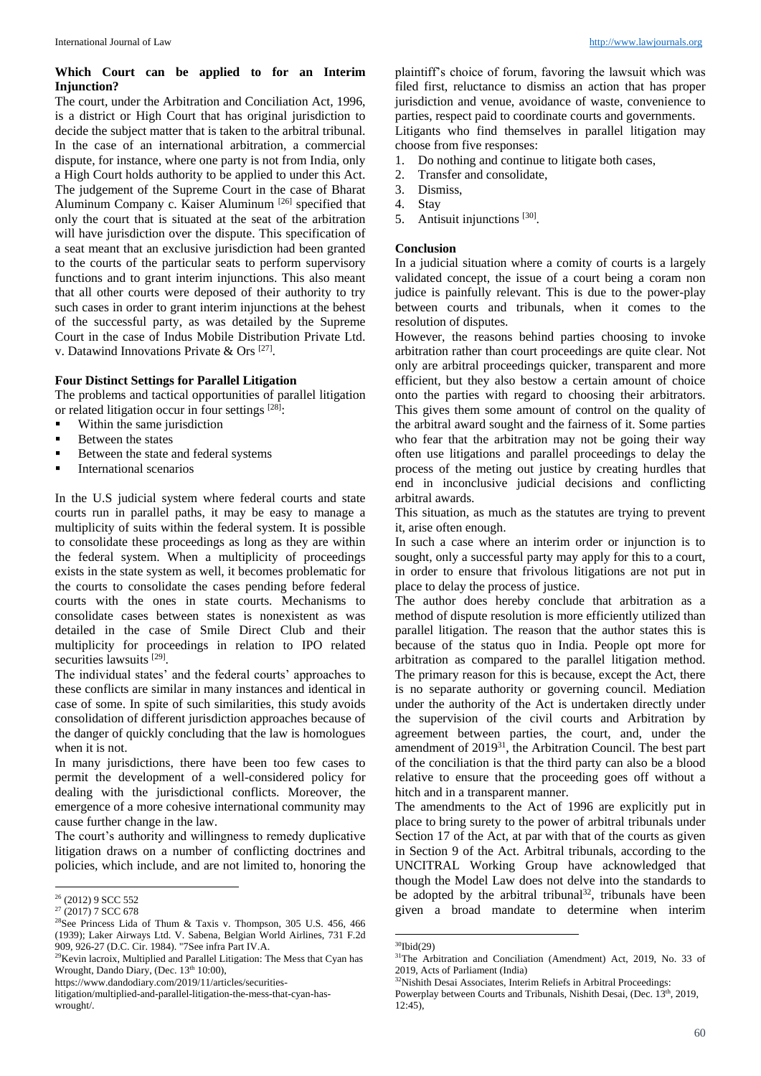## **Which Court can be applied to for an Interim Injunction?**

The court, under the Arbitration and Conciliation Act, 1996, is a district or High Court that has original jurisdiction to decide the subject matter that is taken to the arbitral tribunal. In the case of an international arbitration, a commercial dispute, for instance, where one party is not from India, only a High Court holds authority to be applied to under this Act. The judgement of the Supreme Court in the case of Bharat Aluminum Company c. Kaiser Aluminum<sup>[26]</sup> specified that only the court that is situated at the seat of the arbitration will have jurisdiction over the dispute. This specification of a seat meant that an exclusive jurisdiction had been granted to the courts of the particular seats to perform supervisory functions and to grant interim injunctions. This also meant that all other courts were deposed of their authority to try such cases in order to grant interim injunctions at the behest of the successful party, as was detailed by the Supreme Court in the case of Indus Mobile Distribution Private Ltd. v. Datawind Innovations Private & Ors<sup>[27]</sup>.

### **Four Distinct Settings for Parallel Litigation**

The problems and tactical opportunities of parallel litigation or related litigation occur in four settings [28]:

- Within the same jurisdiction
- Between the states
- Between the state and federal systems
- **International scenarios**

In the U.S judicial system where federal courts and state courts run in parallel paths, it may be easy to manage a multiplicity of suits within the federal system. It is possible to consolidate these proceedings as long as they are within the federal system. When a multiplicity of proceedings exists in the state system as well, it becomes problematic for the courts to consolidate the cases pending before federal courts with the ones in state courts. Mechanisms to consolidate cases between states is nonexistent as was detailed in the case of Smile Direct Club and their multiplicity for proceedings in relation to IPO related securities lawsuits [29].

The individual states' and the federal courts' approaches to these conflicts are similar in many instances and identical in case of some. In spite of such similarities, this study avoids consolidation of different jurisdiction approaches because of the danger of quickly concluding that the law is homologues when it is not.

In many jurisdictions, there have been too few cases to permit the development of a well-considered policy for dealing with the jurisdictional conflicts. Moreover, the emergence of a more cohesive international community may cause further change in the law.

The court's authority and willingness to remedy duplicative litigation draws on a number of conflicting doctrines and policies, which include, and are not limited to, honoring the

 $\overline{a}$ 

plaintiff's choice of forum, favoring the lawsuit which was filed first, reluctance to dismiss an action that has proper jurisdiction and venue, avoidance of waste, convenience to parties, respect paid to coordinate courts and governments.

Litigants who find themselves in parallel litigation may choose from five responses:

- 1. Do nothing and continue to litigate both cases,
- 2. Transfer and consolidate,
- 3. Dismiss,
- 4. Stay
- 5. Antisuit injunctions [30] .

### **Conclusion**

In a judicial situation where a comity of courts is a largely validated concept, the issue of a court being a coram non judice is painfully relevant. This is due to the power-play between courts and tribunals, when it comes to the resolution of disputes.

However, the reasons behind parties choosing to invoke arbitration rather than court proceedings are quite clear. Not only are arbitral proceedings quicker, transparent and more efficient, but they also bestow a certain amount of choice onto the parties with regard to choosing their arbitrators. This gives them some amount of control on the quality of the arbitral award sought and the fairness of it. Some parties who fear that the arbitration may not be going their way often use litigations and parallel proceedings to delay the process of the meting out justice by creating hurdles that end in inconclusive judicial decisions and conflicting arbitral awards.

This situation, as much as the statutes are trying to prevent it, arise often enough.

In such a case where an interim order or injunction is to sought, only a successful party may apply for this to a court, in order to ensure that frivolous litigations are not put in place to delay the process of justice.

The author does hereby conclude that arbitration as a method of dispute resolution is more efficiently utilized than parallel litigation. The reason that the author states this is because of the status quo in India. People opt more for arbitration as compared to the parallel litigation method. The primary reason for this is because, except the Act, there is no separate authority or governing council. Mediation under the authority of the Act is undertaken directly under the supervision of the civil courts and Arbitration by agreement between parties, the court, and, under the amendment of 2019<sup>31</sup>, the Arbitration Council. The best part of the conciliation is that the third party can also be a blood relative to ensure that the proceeding goes off without a hitch and in a transparent manner.

The amendments to the Act of 1996 are explicitly put in place to bring surety to the power of arbitral tribunals under Section 17 of the Act, at par with that of the courts as given in Section 9 of the Act. Arbitral tribunals, according to the UNCITRAL Working Group have acknowledged that though the Model Law does not delve into the standards to be adopted by the arbitral tribunal<sup>32</sup>, tribunals have been given a broad mandate to determine when interim

**.** 

<sup>&</sup>lt;sup>26</sup> (2012) 9 SCC 552

 $27(2017)$  7 SCC 678

<sup>28</sup>See Princess Lida of Thum & Taxis v. Thompson, 305 U.S. 456, 466 (1939); Laker Airways Ltd. V. Sabena, Belgian World Airlines, 731 F.2d 909, 926-27 (D.C. Cir. 1984). "7See infra Part IV.A.

<sup>&</sup>lt;sup>29</sup>Kevin lacroix, Multiplied and Parallel Litigation: The Mess that Cyan has Wrought, Dando Diary, (Dec. 13<sup>th</sup> 10:00),

https://www.dandodiary.com/2019/11/articles/securities-

litigation/multiplied-and-parallel-litigation-the-mess-that-cyan-haswrought/.

 $30$ Ibid(29)

 $31$ The Arbitration and Conciliation (Amendment) Act, 2019, No. 33 of 2019, Acts of Parliament (India)

<sup>&</sup>lt;sup>32</sup>Nishith Desai Associates, Interim Reliefs in Arbitral Proceedings: Powerplay between Courts and Tribunals, Nishith Desai, (Dec. 13<sup>th</sup>, 2019, 12:45),